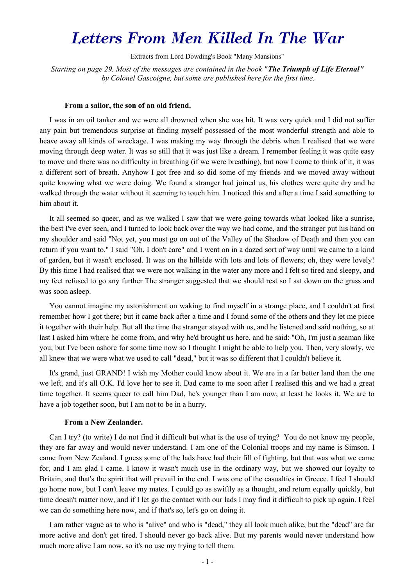# *Letters From Men Killed In The War*

Extracts from Lord Dowding's Book "Many Mansions"

*Starting on page 29. Most of the messages are contained in the book "The Triumph of Life Eternal" by Colonel Gascoigne, but some are published here for the first time.* 

# **From a sailor, the son of an old friend.**

I was in an oil tanker and we were all drowned when she was hit. It was very quick and I did not suffer any pain but tremendous surprise at finding myself possessed of the most wonderful strength and able to heave away all kinds of wreckage. I was making my way through the debris when I realised that we were moving through deep water. It was so still that it was just like a dream. I remember feeling it was quite easy to move and there was no difficulty in breathing (if we were breathing), but now I come to think of it, it was a different sort of breath. Anyhow I got free and so did some of my friends and we moved away without quite knowing what we were doing. We found a stranger had joined us, his clothes were quite dry and he walked through the water without it seeming to touch him. I noticed this and after a time I said something to him about it.

It all seemed so queer, and as we walked I saw that we were going towards what looked like a sunrise, the best I've ever seen, and I turned to look back over the way we had come, and the stranger put his hand on my shoulder and said "Not yet, you must go on out of the Valley of the Shadow of Death and then you can return if you want to." I said "Oh, I don't care" and I went on in a dazed sort of way until we came to a kind of garden, but it wasn't enclosed. It was on the hillside with lots and lots of flowers; oh, they were lovely! By this time I had realised that we were not walking in the water any more and I felt so tired and sleepy, and my feet refused to go any further The stranger suggested that we should rest so I sat down on the grass and was soon asleep.

You cannot imagine my astonishment on waking to find myself in a strange place, and I couldn't at first remember how I got there; but it came back after a time and I found some of the others and they let me piece it together with their help. But all the time the stranger stayed with us, and he listened and said nothing, so at last I asked him where he come from, and why he'd brought us here, and he said: "Oh, I'm just a seaman like you, but I've been ashore for some time now so I thought I might be able to help you. Then, very slowly, we all knew that we were what we used to call "dead," but it was so different that I couldn't believe it.

It's grand, just GRAND! I wish my Mother could know about it. We are in a far better land than the one we left, and it's all O.K. I'd love her to see it. Dad came to me soon after I realised this and we had a great time together. It seems queer to call him Dad, he's younger than I am now, at least he looks it. We are to have a job together soon, but I am not to be in a hurry.

#### **From a New Zealander.**

Can I try? (to write) I do not find it difficult but what is the use of trying? You do not know my people, they are far away and would never understand. I am one of the Colonial troops and my name is Simson. I came from New Zealand. I guess some of the lads have had their fill of fighting, but that was what we came for, and I am glad I came. I know it wasn't much use in the ordinary way, but we showed our loyalty to Britain, and that's the spirit that will prevail in the end. I was one of the casualties in Greece. I feel I should go home now, but I can't leave my mates. I could go as swiftly as a thought, and return equally quickly, but time doesn't matter now, and if I let go the contact with our lads I may find it difficult to pick up again. I feel we can do something here now, and if that's so, let's go on doing it.

I am rather vague as to who is "alive" and who is "dead," they all look much alike, but the "dead" are far more active and don't get tired. I should never go back alive. But my parents would never understand how much more alive I am now, so it's no use my trying to tell them.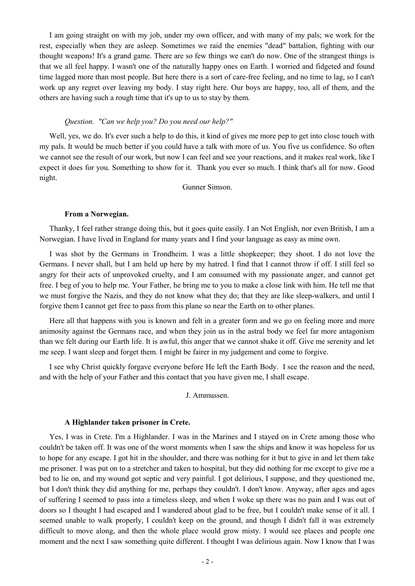I am going straight on with my job, under my own officer, and with many of my pals; we work for the rest, especially when they are asleep. Sometimes we raid the enemies "dead" battalion, fighting with our thought weapons! It's a grand game. There are so few things we can't do now. One of the strangest things is that we all feel happy. I wasn't one of the naturally happy ones on Earth. I worried and fidgeted and found time lagged more than most people. But here there is a sort of care-free feeling, and no time to lag, so I can't work up any regret over leaving my body. I stay right here. Our boys are happy, too, all of them, and the others are having such a rough time that it's up to us to stay by them.

# *Question. "Can we help you? Do you need our help?"*

Well, yes, we do. It's ever such a help to do this, it kind of gives me more pep to get into close touch with my pals. It would be much better if you could have a talk with more of us. You five us confidence. So often we cannot see the result of our work, but now I can feel and see your reactions, and it makes real work, like I expect it does for you. Something to show for it. Thank you ever so much. I think that's all for now. Good night.

Gunner Simson.

#### **From a Norwegian.**

Thanky, I feel rather strange doing this, but it goes quite easily. I an Not English, nor even British, I am a Norwegian. I have lived in England for many years and I find your language as easy as mine own.

I was shot by the Germans in Trondheim. I was a little shopkeeper; they shoot. I do not love the Germans. I never shall, but I am held up here by my hatred. I find that I cannot throw if off. I still feel so angry for their acts of unprovoked cruelty, and I am consumed with my passionate anger, and cannot get free. I beg of you to help me. Your Father, he bring me to you to make a close link with him. He tell me that we must forgive the Nazis, and they do not know what they do; that they are like sleep-walkers, and until I forgive them I cannot get free to pass from this plane so near the Earth on to other planes.

Here all that happens with you is known and felt in a greater form and we go on feeling more and more animosity against the Germans race, and when they join us in the astral body we feel far more antagonism than we felt during our Earth life. It is awful, this anger that we cannot shake it off. Give me serenity and let me seep. I want sleep and forget them. I might be fairer in my judgement and come to forgive.

I see why Christ quickly forgave everyone before He left the Earth Body. I see the reason and the need, and with the help of your Father and this contact that you have given me, I shall escape.

J. Ammussen.

# **A Highlander taken prisoner in Crete.**

Yes, I was in Crete. I'm a Highlander. I was in the Marines and I stayed on in Crete among those who couldn't be taken off. It was one of the worst moments when I saw the ships and know it was hopeless for us to hope for any escape. I got hit in the shoulder, and there was nothing for it but to give in and let them take me prisoner. I was put on to a stretcher and taken to hospital, but they did nothing for me except to give me a bed to lie on, and my wound got septic and very painful. I got delirious, I suppose, and they questioned me, but I don't think they did anything for me, perhaps they couldn't. I don't know. Anyway, after ages and ages of suffering I seemed to pass into a timeless sleep, and when I woke up there was no pain and I was out of doors so I thought I had escaped and I wandered about glad to be free, but I couldn't make sense of it all. I seemed unable to walk properly, I couldn't keep on the ground, and though I didn't fall it was extremely difficult to move along, and then the whole place would grow misty. I would see places and people one moment and the next I saw something quite different. I thought I was delirious again. Now I know that I was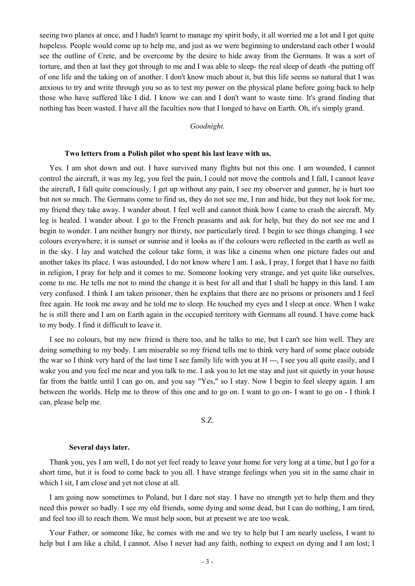seeing two planes at once, and I hadn't learnt to manage my spirit body, it all worried me a lot and I got quite hopeless. People would come up to help me, and just as we were beginning to understand each other I would see the outline of Crete, and be overcome by the desire to hide away from the Germans. It was a sort of torture, and then at last they got through to me and I was able to sleep- the real sleep of death -the putting off of one life and the taking on of another. I don't know much about it, but this life seems so natural that I was anxious to try and write through you so as to test my power on the physical plane before going back to help those who have suffered like I did. I know we can and I don't want to waste time. It's grand finding that nothing has been wasted. I have all the faculties now that I longed to have on Earth. Oh, it's simply grand.

# *Goodnight.*

#### **Two letters from a Polish pilot who spent his last leave with us.**

Yes. I am shot down and out. I have survived many flights but not this one. I am wounded, I cannot control the aircraft, it was my leg, you feel the pain, I could not move the controls and I fall, I cannot leave the aircraft, I fall quite consciously. I get up without any pain, I see my observer and gunner, he is hurt too but not so much. The Germans come to find us, they do not see me, I run and hide, but they not look for me, my friend they take away. I wander about. I feel well and cannot think how I came to crash the aircraft. My leg is healed. I wander about. I go to the French peasants and ask for help, but they do not see me and I begin to wonder. I am neither hungry nor thirsty, nor particularly tired. I begin to see things changing. I see colours everywhere; it is sunset or sunrise and it looks as if the colours were reflected in the earth as well as in the sky. I lay and watched the colour take form, it was like a cinema when one picture fades out and another takes its place. I was astounded, I do not know where I am. I ask, I pray, I forget that I have no faith in religion, I pray for help and it comes to me. Someone looking very strange, and yet quite like ourselves, come to me. He tells me not to mind the change it is best for all and that I shall be happy in this land. I am very confused. I think I am taken prisoner, then he explains that there are no prisons or prisoners and I feel free again. He took me away and he told me to sleep. He touched my eyes and I sleep at once. When I wake he is still there and I am on Earth again in the occupied territory with Germans all round. I have come back to my body. I find it difficult to leave it.

I see no colours, but my new friend is there too, and he talks to me, but I can't see him well. They are doing something to my body. I am miserable so my friend tells me to think very hard of some place outside the war so I think very hard of the last time I see family life with you at H ---, I see you all quite easily, and I wake you and you feel me near and you talk to me. I ask you to let me stay and just sit quietly in your house far from the battle until I can go on, and you say "Yes," so I stay. Now I begin to feel sleepy again. I am between the worlds. Help me to throw of this one and to go on. I want to go on- I want to go on - I think I can, please help me.

# S.Z.

#### **Several days later.**

Thank you, yes I am well, I do not yet feel ready to leave your home for very long at a time, but I go for a short time, but it is food to come back to you all. I have strange feelings when you sit in the same chair in which I sit, I am close and yet not close at all.

I am going now sometimes to Poland, but I dare not stay. I have no strength yet to help them and they need this power so badly. I see my old friends, some dying and some dead, but I can do nothing, I am tired, and feel too ill to reach them. We must help soon, but at present we are too weak.

Your Father, or someone like, he comes with me and we try to help but I am nearly useless, I want to help but I am like a child, I cannot. Also I never had any faith, nothing to expect on dying and I am lost; I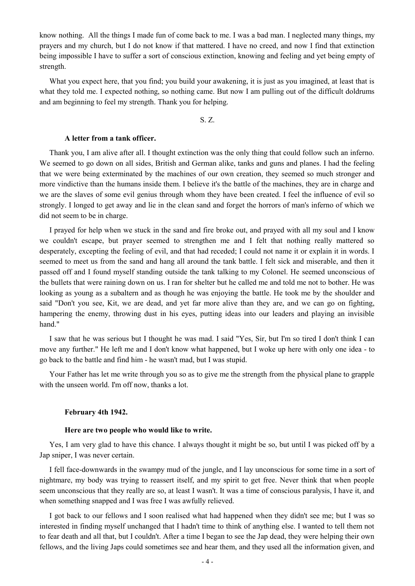know nothing. All the things I made fun of come back to me. I was a bad man. I neglected many things, my prayers and my church, but I do not know if that mattered. I have no creed, and now I find that extinction being impossible I have to suffer a sort of conscious extinction, knowing and feeling and yet being empty of strength.

What you expect here, that you find; you build your awakening, it is just as you imagined, at least that is what they told me. I expected nothing, so nothing came. But now I am pulling out of the difficult doldrums and am beginning to feel my strength. Thank you for helping.

S. Z.

# **A letter from a tank officer.**

Thank you, I am alive after all. I thought extinction was the only thing that could follow such an inferno. We seemed to go down on all sides, British and German alike, tanks and guns and planes. I had the feeling that we were being exterminated by the machines of our own creation, they seemed so much stronger and more vindictive than the humans inside them. I believe it's the battle of the machines, they are in charge and we are the slaves of some evil genius through whom they have been created. I feel the influence of evil so strongly. I longed to get away and lie in the clean sand and forget the horrors of man's inferno of which we did not seem to be in charge.

I prayed for help when we stuck in the sand and fire broke out, and prayed with all my soul and I know we couldn't escape, but prayer seemed to strengthen me and I felt that nothing really mattered so desperately, excepting the feeling of evil, and that had receded; I could not name it or explain it in words. I seemed to meet us from the sand and hang all around the tank battle. I felt sick and miserable, and then it passed off and I found myself standing outside the tank talking to my Colonel. He seemed unconscious of the bullets that were raining down on us. I ran for shelter but he called me and told me not to bother. He was looking as young as a subaltern and as though he was enjoying the battle. He took me by the shoulder and said "Don't you see, Kit, we are dead, and yet far more alive than they are, and we can go on fighting, hampering the enemy, throwing dust in his eyes, putting ideas into our leaders and playing an invisible hand."

I saw that he was serious but I thought he was mad. I said "Yes, Sir, but I'm so tired I don't think I can move any further." He left me and I don't know what happened, but I woke up here with only one idea - to go back to the battle and find him - he wasn't mad, but I was stupid.

Your Father has let me write through you so as to give me the strength from the physical plane to grapple with the unseen world. I'm off now, thanks a lot.

# **February 4th 1942.**

# **Here are two people who would like to write.**

Yes, I am very glad to have this chance. I always thought it might be so, but until I was picked off by a Jap sniper, I was never certain.

I fell face-downwards in the swampy mud of the jungle, and I lay unconscious for some time in a sort of nightmare, my body was trying to reassert itself, and my spirit to get free. Never think that when people seem unconscious that they really are so, at least I wasn't. It was a time of conscious paralysis, I have it, and when something snapped and I was free I was awfully relieved.

I got back to our fellows and I soon realised what had happened when they didn't see me; but I was so interested in finding myself unchanged that I hadn't time to think of anything else. I wanted to tell them not to fear death and all that, but I couldn't. After a time I began to see the Jap dead, they were helping their own fellows, and the living Japs could sometimes see and hear them, and they used all the information given, and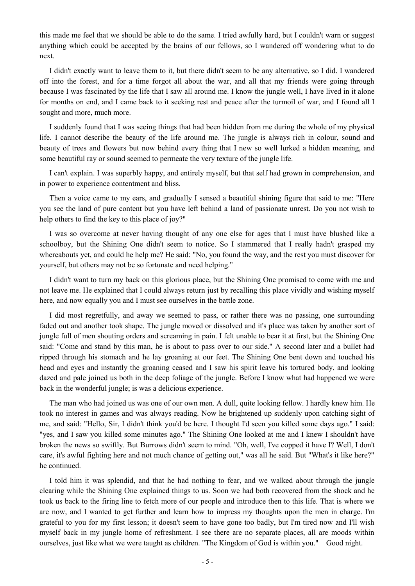this made me feel that we should be able to do the same. I tried awfully hard, but I couldn't warn or suggest anything which could be accepted by the brains of our fellows, so I wandered off wondering what to do next.

I didn't exactly want to leave them to it, but there didn't seem to be any alternative, so I did. I wandered off into the forest, and for a time forgot all about the war, and all that my friends were going through because I was fascinated by the life that I saw all around me. I know the jungle well, I have lived in it alone for months on end, and I came back to it seeking rest and peace after the turmoil of war, and I found all I sought and more, much more.

I suddenly found that I was seeing things that had been hidden from me during the whole of my physical life. I cannot describe the beauty of the life around me. The jungle is always rich in colour, sound and beauty of trees and flowers but now behind every thing that I new so well lurked a hidden meaning, and some beautiful ray or sound seemed to permeate the very texture of the jungle life.

I can't explain. I was superbly happy, and entirely myself, but that self had grown in comprehension, and in power to experience contentment and bliss.

Then a voice came to my ears, and gradually I sensed a beautiful shining figure that said to me: "Here you see the land of pure content but you have left behind a land of passionate unrest. Do you not wish to help others to find the key to this place of joy?"

I was so overcome at never having thought of any one else for ages that I must have blushed like a schoolboy, but the Shining One didn't seem to notice. So I stammered that I really hadn't grasped my whereabouts yet, and could he help me? He said: "No, you found the way, and the rest you must discover for yourself, but others may not be so fortunate and need helping."

I didn't want to turn my back on this glorious place, but the Shining One promised to come with me and not leave me. He explained that I could always return just by recalling this place vividly and wishing myself here, and now equally you and I must see ourselves in the battle zone.

I did most regretfully, and away we seemed to pass, or rather there was no passing, one surrounding faded out and another took shape. The jungle moved or dissolved and it's place was taken by another sort of jungle full of men shouting orders and screaming in pain. I felt unable to bear it at first, but the Shining One said: "Come and stand by this man, he is about to pass over to our side." A second later and a bullet had ripped through his stomach and he lay groaning at our feet. The Shining One bent down and touched his head and eyes and instantly the groaning ceased and I saw his spirit leave his tortured body, and looking dazed and pale joined us both in the deep foliage of the jungle. Before I know what had happened we were back in the wonderful jungle; is was a delicious experience.

The man who had joined us was one of our own men. A dull, quite looking fellow. I hardly knew him. He took no interest in games and was always reading. Now he brightened up suddenly upon catching sight of me, and said: "Hello, Sir, I didn't think you'd be here. I thought I'd seen you killed some days ago." I said: "yes, and I saw you killed some minutes ago." The Shining One looked at me and I knew I shouldn't have broken the news so swiftly. But Burrows didn't seem to mind. "Oh, well, I've copped it have I? Well, I don't care, it's awful fighting here and not much chance of getting out," was all he said. But "What's it like here?" he continued.

I told him it was splendid, and that he had nothing to fear, and we walked about through the jungle clearing while the Shining One explained things to us. Soon we had both recovered from the shock and he took us back to the firing line to fetch more of our people and introduce then to this life. That is where we are now, and I wanted to get further and learn how to impress my thoughts upon the men in charge. I'm grateful to you for my first lesson; it doesn't seem to have gone too badly, but I'm tired now and I'll wish myself back in my jungle home of refreshment. I see there are no separate places, all are moods within ourselves, just like what we were taught as children. "The Kingdom of God is within you." Good night.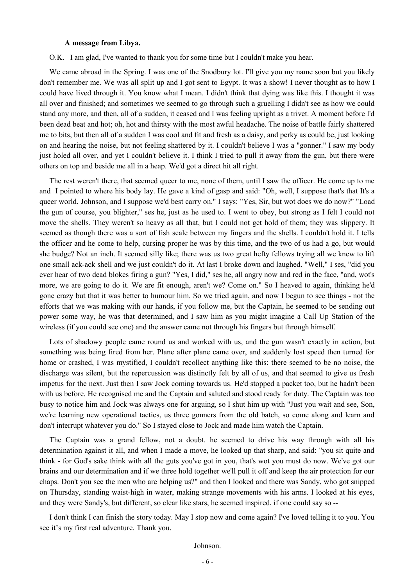# **A message from Libya.**

O.K. I am glad, I've wanted to thank you for some time but I couldn't make you hear.

We came abroad in the Spring. I was one of the Snodbury lot. I'll give you my name soon but you likely don't remember me. We was all split up and I got sent to Egypt. It was a show! I never thought as to how I could have lived through it. You know what I mean. I didn't think that dying was like this. I thought it was all over and finished; and sometimes we seemed to go through such a gruelling I didn't see as how we could stand any more, and then, all of a sudden, it ceased and I was feeling upright as a trivet. A moment before I'd been dead beat and hot; oh, hot and thirsty with the most awful headache. The noise of battle fairly shattered me to bits, but then all of a sudden I was cool and fit and fresh as a daisy, and perky as could be, just looking on and hearing the noise, but not feeling shattered by it. I couldn't believe I was a "gonner." I saw my body just holed all over, and yet I couldn't believe it. I think I tried to pull it away from the gun, but there were others on top and beside me all in a heap. We'd got a direct hit all right.

The rest weren't there, that seemed queer to me, none of them, until I saw the officer. He come up to me and I pointed to where his body lay. He gave a kind of gasp and said: "Oh, well, I suppose that's that It's a queer world, Johnson, and I suppose we'd best carry on." I says: "Yes, Sir, but wot does we do now?" "Load the gun of course, you blighter," ses he, just as he used to. I went to obey, but strong as I felt I could not move the shells. They weren't so heavy as all that, but I could not get hold of them; they was slippery. It seemed as though there was a sort of fish scale between my fingers and the shells. I couldn't hold it. I tells the officer and he come to help, cursing proper he was by this time, and the two of us had a go, but would she budge? Not an inch. It seemed silly like; there was us two great hefty fellows trying all we knew to lift one small ack-ack shell and we just couldn't do it. At last I broke down and laughed. "Well," I ses, "did you ever hear of two dead blokes firing a gun? "Yes, I did," ses he, all angry now and red in the face, "and, wot's more, we are going to do it. We are fit enough, aren't we? Come on." So I heaved to again, thinking he'd gone crazy but that it was better to humour him. So we tried again, and now I begun to see things - not the efforts that we was making with our hands, if you follow me, but the Captain, he seemed to be sending out power some way, he was that determined, and I saw him as you might imagine a Call Up Station of the wireless (if you could see one) and the answer came not through his fingers but through himself.

Lots of shadowy people came round us and worked with us, and the gun wasn't exactly in action, but something was being fired from her. Plane after plane came over, and suddenly lost speed then turned for home or crashed, I was mystified, I couldn't recollect anything like this: there seemed to be no noise, the discharge was silent, but the repercussion was distinctly felt by all of us, and that seemed to give us fresh impetus for the next. Just then I saw Jock coming towards us. He'd stopped a packet too, but he hadn't been with us before. He recognised me and the Captain and saluted and stood ready for duty. The Captain was too busy to notice him and Jock was always one for arguing, so I shut him up with "Just you wait and see, Son, we're learning new operational tactics, us three gonners from the old batch, so come along and learn and don't interrupt whatever you do." So I stayed close to Jock and made him watch the Captain.

The Captain was a grand fellow, not a doubt. he seemed to drive his way through with all his determination against it all, and when I made a move, he looked up that sharp, and said: "you sit quite and think - for God's sake think with all the guts you've got in you, that's wot you must do now. We've got our brains and our determination and if we three hold together we'll pull it off and keep the air protection for our chaps. Don't you see the men who are helping us?" and then I looked and there was Sandy, who got snipped on Thursday, standing waist-high in water, making strange movements with his arms. I looked at his eyes, and they were Sandy's, but different, so clear like stars, he seemed inspired, if one could say so --

I don't think I can finish the story today. May I stop now and come again? I've loved telling it to you. You see it's my first real adventure. Thank you.

Johnson.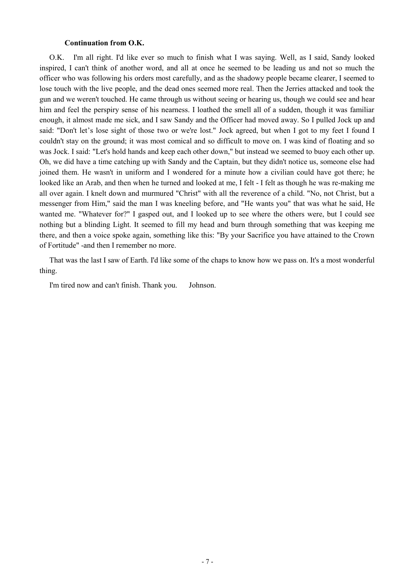# **Continuation from O.K.**

O.K. I'm all right. I'd like ever so much to finish what I was saying. Well, as I said, Sandy looked inspired, I can't think of another word, and all at once he seemed to be leading us and not so much the officer who was following his orders most carefully, and as the shadowy people became clearer, I seemed to lose touch with the live people, and the dead ones seemed more real. Then the Jerries attacked and took the gun and we weren't touched. He came through us without seeing or hearing us, though we could see and hear him and feel the perspiry sense of his nearness. I loathed the smell all of a sudden, though it was familiar enough, it almost made me sick, and I saw Sandy and the Officer had moved away. So I pulled Jock up and said: "Don't let's lose sight of those two or we're lost." Jock agreed, but when I got to my feet I found I couldn't stay on the ground; it was most comical and so difficult to move on. I was kind of floating and so was Jock. I said: "Let's hold hands and keep each other down," but instead we seemed to buoy each other up. Oh, we did have a time catching up with Sandy and the Captain, but they didn't notice us, someone else had joined them. He wasn't in uniform and I wondered for a minute how a civilian could have got there; he looked like an Arab, and then when he turned and looked at me, I felt - I felt as though he was re-making me all over again. I knelt down and murmured "Christ" with all the reverence of a child. "No, not Christ, but a messenger from Him," said the man I was kneeling before, and "He wants you" that was what he said, He wanted me. "Whatever for?" I gasped out, and I looked up to see where the others were, but I could see nothing but a blinding Light. It seemed to fill my head and burn through something that was keeping me there, and then a voice spoke again, something like this: "By your Sacrifice you have attained to the Crown of Fortitude" -and then I remember no more.

That was the last I saw of Earth. I'd like some of the chaps to know how we pass on. It's a most wonderful thing.

I'm tired now and can't finish. Thank you. Johnson.